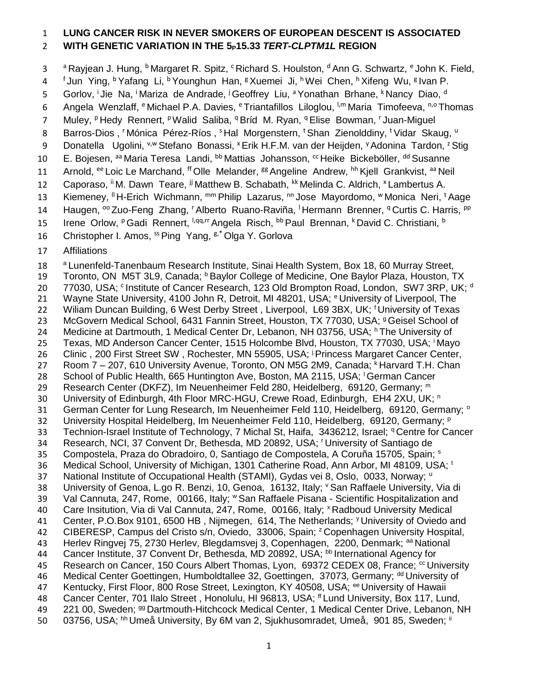#### 1 **LUNG CANCER RISK IN NEVER SMOKERS OF EUROPEAN DESCENT IS ASSOCIATED**  2 **WITH GENETIC VARIATION IN THE 5P15.33** *TERT-CLPTM1L* **REGION**

a <sup>a</sup> Rayjean J. Hung, <sup>b</sup> Margaret R. Spitz, <sup>c</sup> Richard S. Houlston, <sup>d</sup> Ann G. Schwartz, <sup>e</sup> John K. Field, 4 fJun Ying, <sup>b</sup> Yafang Li, <sup>b</sup> Younghun Han, <sup>g</sup> Xuemei Ji, <sup>h</sup> Wei Chen, <sup>h</sup> Xifeng Wu, <sup>g</sup> Ivan P. 5 Gorlov, <sup>i</sup> Jie Na, <sup>i</sup> Mariza de Andrade, <sup>j</sup> Geoffrey Liu, <sup>a</sup> Yonathan Brhane, <sup>k</sup> Nancy Diao, <sup>d</sup> 6 Angela Wenzlaff, <sup>e</sup> Michael P.A. Davies, <sup>e</sup> Triantafillos Liloglou, <sup>I,m</sup> Maria Timofeeva, <sup>n,o</sup> Thomas 7 Muley, <sup>p</sup> Hedy Rennert, <sup>p</sup> Walid Saliba, <sup>q</sup> Bríd M. Ryan, <sup>q</sup> Elise Bowman, <sup>r</sup> Juan-Miguel 8 Barros-Dios, Mónica Pérez-Ríos, <sup>s</sup> Hal Morgenstern, <sup>t</sup> Shan Zienolddiny, <sup>t</sup> Vidar Skaug, <sup>u</sup> 9 Donatella Ugolini, <sup>v,w</sup> Stefano Bonassi, <sup>x</sup> Erik H.F.M. van der Heijden, <sup>y</sup> Adonina Tardon, <sup>z</sup> Stig 10 E. Bojesen, <sup>aa</sup> Maria Teresa Landi, <sup>bb</sup> Mattias Johansson, <sup>cc</sup> Heike Bickeböller, <sup>dd</sup> Susanne 11 Arnold, <sup>ee</sup> Loic Le Marchand, <sup>ff</sup> Olle Melander, <sup>gg</sup> Angeline Andrew, <sup>hh</sup> Kjell Grankvist, <sup>aa</sup> Neil 12 Caporaso, <sup>ii</sup> M. Dawn Teare, <sup>jj</sup> Matthew B. Schabath, <sup>kk</sup> Melinda C. Aldrich, <sup>x</sup> Lambertus A. 13 Kiemeney, <sup>II</sup> H-Erich Wichmann, mm Philip Lazarus, nn Jose Mayordomo, w Monica Neri, <sup>t</sup> Aage 14 Haugen, <sup>oo</sup> Zuo-Feng Zhang, <sup>r</sup> Alberto Ruano-Raviña, <sup>I</sup> Hermann Brenner, <sup>q</sup> Curtis C. Harris, <sup>pp</sup> 15 Irene Orlow, <sup>p</sup> Gadi Rennert, <sup>I,qq,rr</sup> Angela Risch, <sup>bb</sup> Paul Brennan, <sup>k</sup> David C. Christiani, <sup>b</sup> 16 Christopher I. Amos, <sup>ss</sup> Ping Yang, <sup>g,\*</sup> Olga Y. Gorlova

17 Affiliations

18 <sup>a</sup> Lunenfeld-Tanenbaum Research Institute, Sinai Health System, Box 18, 60 Murray Street, 19 Toronto, ON M5T 3L9, Canada; **b**Baylor College of Medicine, One Baylor Plaza, Houston, TX 20  $-77030$ , USA;  $\circ$  Institute of Cancer Research, 123 Old Brompton Road, London, SW7 3RP, UK; d 21 Wayne State University, 4100 John R, Detroit, MI 48201, USA; <sup>e</sup> University of Liverpool, The 22 Wiliam Duncan Building, 6 West Derby Street, Liverpool, L69 3BX, UK; <sup>f</sup>University of Texas 23 McGovern Medical School, 6431 Fannin Street, Houston, TX 77030, USA; <sup>9</sup> Geisel School of 24 Medicine at Dartmouth, 1 Medical Center Dr, Lebanon, NH 03756, USA; <sup>h</sup> The University of 25 Texas, MD Anderson Cancer Center, 1515 Holcombe Blvd, Houston, TX 77030, USA; <sup>i</sup>Mayo 26 Clinic , 200 First Street SW, Rochester, MN 55905, USA; <sup>j</sup> Princess Margaret Cancer Center, 27 Room 7 – 207, 610 University Avenue, Toronto, ON M5G 2M9, Canada; <sup>k</sup> Harvard T.H. Chan 28 School of Public Health, 665 Huntington Ave, Boston, MA 2115, USA; <sup>1</sup>German Cancer Research Center (DKFZ), Im Neuenheimer Feld 280, Heidelberg, 69120, Germany; <sup>m</sup>29 10 University of Edinburgh, 4th Floor MRC-HGU, Crewe Road, Edinburgh, EH4 2XU, UK; n300 31 German Center for Lung Research, Im Neuenheimer Feld 110, Heidelberg, 69120, Germany; <sup>o</sup> 32 University Hospital Heidelberg, Im Neuenheimer Feld 110, Heidelberg, 69120, Germany; P 33 Technion-Israel Institute of Technology, 7 Michal St, Haifa, 3436212, Israel; <sup>q</sup>Centre for Cancer 34 Research, NCI, 37 Convent Dr, Bethesda, MD 20892, USA; <sup>†</sup>University of Santiago de 35 Compostela, Praza do Obradoiro, 0, Santiago de Compostela, A Coruña 15705, Spain; s 36 Medical School, University of Michigan, 1301 Catherine Road, Ann Arbor, MI 48109, USA; <sup>t</sup> 37 National Institute of Occupational Health (STAMI), Gydas vei 8, Oslo, 0033, Norway; <sup>u</sup> 38 University of Genoa, L.go R. Benzi, 10, Genoa, 16132, Italy; 'San Raffaele University, Via di 39 Val Cannuta, 247, Rome, 00166, Italy; WSan Raffaele Pisana - Scientific Hospitalization and 40 Care Insitution, Via di Val Cannuta, 247, Rome, 00166, Italy; <sup>x</sup> Radboud University Medical 41 Center, P.O.Box 9101, 6500 HB, Nijmegen, 614, The Netherlands; <sup>y</sup> University of Oviedo and 42 CIBERESP, Campus del Cristo s/n, Oviedo, 33006, Spain; <sup>z</sup> Copenhagen University Hospital, 43 Herlev Ringvej 75, 2730 Herlev, Blegdamsvej 3, Copenhagen, 2200, Denmark; <sup>aa</sup> National 44 Cancer Institute, 37 Convent Dr, Bethesda, MD 20892, USA; bb International Agency for 45 Research on Cancer, 150 Cours Albert Thomas, Lyon, 69372 CEDEX 08, France;  $\alpha$  University 46 Medical Center Goettingen, Humboldtallee 32, Goettingen, 37073, Germany; <sup>dd</sup> University of 47 Kentucky, First Floor, 800 Rose Street, Lexington, KY 40508, USA; <sup>ee</sup> University of Hawaii 48 Cancer Center, 701 Ilalo Street, Honolulu, HI 96813, USA; <sup>ff</sup> Lund University, Box 117, Lund, 49 221 00, Sweden; <sup>99</sup> Dartmouth-Hitchcock Medical Center, 1 Medical Center Drive, Lebanon, NH 50 03756, USA; <sup>hh</sup> Umeå University, By 6M van 2, Sjukhusomradet, Umeå, 901 85, Sweden; <sup>ii</sup>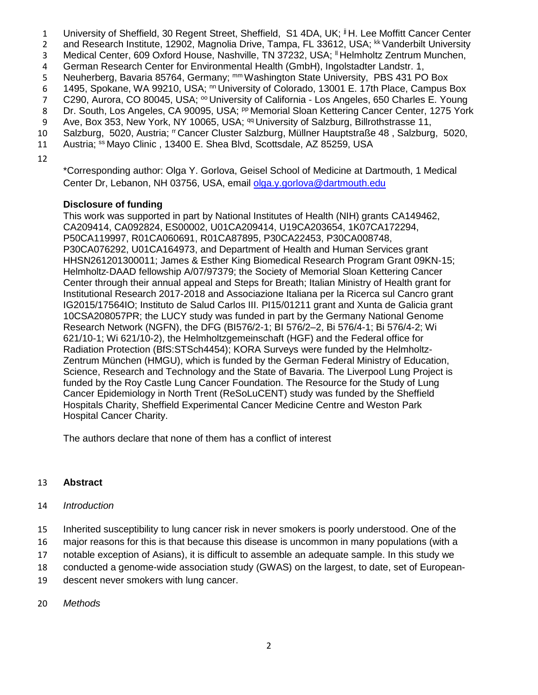- 1 University of Sheffield, 30 Regent Street, Sheffield, S1 4DA, UK; <sup>jj</sup> H. Lee Moffitt Cancer Center
- 2 and Research Institute, 12902, Magnolia Drive, Tampa, FL 33612, USA; <sup>kk</sup> Vanderbilt University
- 3 Medical Center, 609 Oxford House, Nashville, TN 37232, USA; <sup>II</sup> Helmholtz Zentrum Munchen,
- 4 German Research Center for Environmental Health (GmbH), Ingolstadter Landstr. 1,
- 5 Neuherberg, Bavaria 85764, Germany; mm Washington State University, PBS 431 PO Box
- 6 1495, Spokane, WA 99210, USA; <sup>nn</sup> University of Colorado, 13001 E. 17th Place, Campus Box
- 7 C290, Aurora, CO 80045, USA; <sup>oo</sup> University of California Los Angeles, 650 Charles E. Young
- 8 Dr. South, Los Angeles, CA 90095, USA; <sup>pp</sup> Memorial Sloan Kettering Cancer Center, 1275 York
- 9 Ave, Box 353, New York, NY 10065, USA; <sup>qq</sup> University of Salzburg, Billrothstrasse 11,
- 10 Salzburg, 5020, Austria; "Cancer Cluster Salzburg, Müllner Hauptstraße 48, Salzburg, 5020,
- 11 Austria; <sup>ss</sup> Mayo Clinic, 13400 E. Shea Blvd, Scottsdale, AZ 85259, USA
- 12

\*Corresponding author: Olga Y. Gorlova, Geisel School of Medicine at Dartmouth, 1 Medical Center Dr, Lebanon, NH 03756, USA, email [olga.y.gorlova@dartmouth.edu](mailto:olga.y.gorlova@dartmouth.edu)

### **Disclosure of funding**

This work was supported in part by National Institutes of Health (NIH) grants CA149462, CA209414, CA092824, ES00002, U01CA209414, U19CA203654, 1K07CA172294, P50CA119997, R01CA060691, R01CA87895, P30CA22453, P30CA008748, P30CA076292, U01CA164973, and Department of Health and Human Services grant HHSN261201300011; James & Esther King Biomedical Research Program Grant 09KN-15; Helmholtz‐DAAD fellowship A/07/97379; the Society of Memorial Sloan Kettering Cancer Center through their annual appeal and Steps for Breath; Italian Ministry of Health grant for Institutional Research 2017-2018 and Associazione Italiana per la Ricerca sul Cancro grant IG2015/17564IO; Instituto de Salud Carlos III. PI15/01211 grant and Xunta de Galicia grant 10CSA208057PR; the LUCY study was funded in part by the Germany National Genome Research Network (NGFN), the DFG (BI576/2-1; BI 576/2–2, Bi 576/4-1; Bi 576/4-2; Wi 621/10-1; Wi 621/10-2), the Helmholtzgemeinschaft (HGF) and the Federal office for Radiation Protection (BfS:STSch4454); KORA Surveys were funded by the Helmholtz-Zentrum München (HMGU), which is funded by the German Federal Ministry of Education, Science, Research and Technology and the State of Bavaria. The Liverpool Lung Project is funded by the Roy Castle Lung Cancer Foundation. The Resource for the Study of Lung Cancer Epidemiology in North Trent (ReSoLuCENT) study was funded by the Sheffield Hospitals Charity, Sheffield Experimental Cancer Medicine Centre and Weston Park Hospital Cancer Charity.

The authors declare that none of them has a conflict of interest

### 13 **Abstract**

#### 14 *Introduction*

- 15 Inherited susceptibility to lung cancer risk in never smokers is poorly understood. One of the
- 16 major reasons for this is that because this disease is uncommon in many populations (with a
- 17 notable exception of Asians), it is difficult to assemble an adequate sample. In this study we
- 18 conducted a genome-wide association study (GWAS) on the largest, to date, set of European-
- 19 descent never smokers with lung cancer.
- 20 *Methods*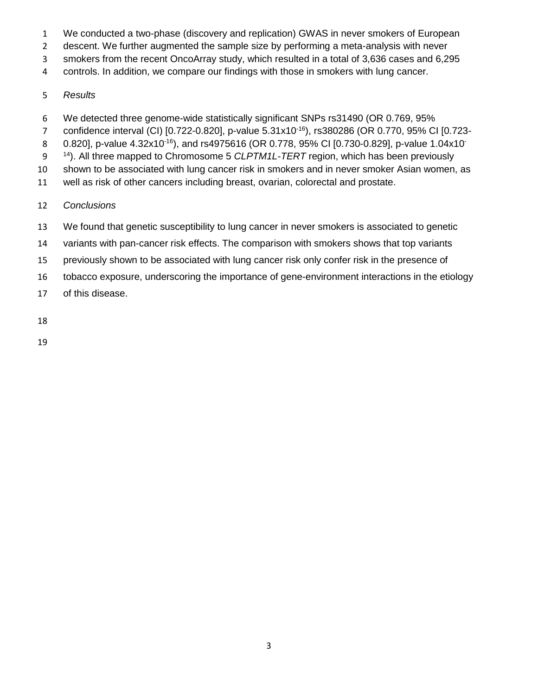- We conducted a two-phase (discovery and replication) GWAS in never smokers of European
- descent. We further augmented the sample size by performing a meta-analysis with never
- smokers from the recent OncoArray study, which resulted in a total of 3,636 cases and 6,295
- controls. In addition, we compare our findings with those in smokers with lung cancer.

### *Results*

- We detected three genome-wide statistically significant SNPs rs31490 (OR 0.769, 95%
- 7 confidence interval (CI) [0.722-0.820], p-value 5.31x10<sup>-16</sup>), rs380286 (OR 0.770, 95% CI [0.723-
- 8 0.820], p-value 4.32x10<sup>-16</sup>), and rs4975616 (OR 0.778, 95% CI [0.730-0.829], p-value 1.04x10<sup>-</sup>
- 14<sup>4</sup>). All three mapped to Chromosome 5 *CLPTM1L-TERT* region, which has been previously
- shown to be associated with lung cancer risk in smokers and in never smoker Asian women, as
- well as risk of other cancers including breast, ovarian, colorectal and prostate.

# *Conclusions*

- We found that genetic susceptibility to lung cancer in never smokers is associated to genetic
- variants with pan-cancer risk effects. The comparison with smokers shows that top variants
- 15 previously shown to be associated with lung cancer risk only confer risk in the presence of
- tobacco exposure, underscoring the importance of gene-environment interactions in the etiology
- of this disease.
-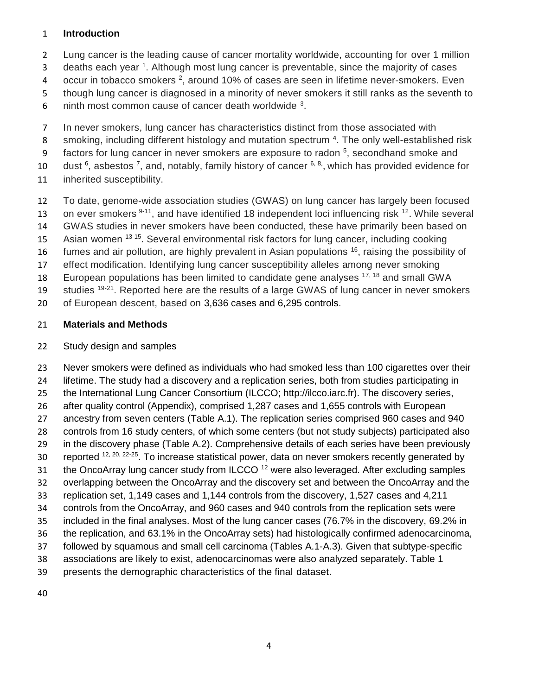#### **Introduction**

Lung cancer is the leading cause of cancer mortality worldwide, accounting for over 1 million

3 deaths each year <sup>1</sup>. Although most lung cancer is preventable, since the majority of cases

4 occur in tobacco smokers <sup>2</sup>, around 10% of cases are seen in lifetime never-smokers. Even

though lung cancer is diagnosed in a minority of never smokers it still ranks as the seventh to

- 6 . ninth most common cause of cancer death worldwide .
- In never smokers, lung cancer has characteristics distinct from those associated with
- 8 smoking, including different histology and mutation spectrum<sup>4</sup>. The only well-established risk
- 9 factors for lung cancer in never smokers are exposure to radon <sup>5</sup>, secondhand smoke and
- 10 dust , asbestos  $7$ , and, notably, family history of cancer  $6, 8$ , which has provided evidence for
- inherited susceptibility.
- To date, genome-wide association studies (GWAS) on lung cancer has largely been focused
- 13 on ever smokers  $9-11$ , and have identified 18 independent loci influencing risk  $12$ . While several
- GWAS studies in never smokers have been conducted, these have primarily been based on
- 15 Asian women <sup>13-15</sup>. Several environmental risk factors for lung cancer, including cooking
- 16 fumes and air pollution, are highly prevalent in Asian populations , raising the possibility of
- effect modification. Identifying lung cancer susceptibility alleles among never smoking
- 18 European populations has been limited to candidate gene analyses  $17, 18$  and small GWA
- 19 studies  $19-21$ . Reported here are the results of a large GWAS of lung cancer in never smokers
- of European descent, based on 3,636 cases and 6,295 controls.

### **Materials and Methods**

### Study design and samples

 Never smokers were defined as individuals who had smoked less than 100 cigarettes over their lifetime. The study had a discovery and a replication series, both from studies participating in the International Lung Cancer Consortium (ILCCO; http://ilcco.iarc.fr). The discovery series, after quality control (Appendix), comprised 1,287 cases and 1,655 controls with European ancestry from seven centers (Table A.1). The replication series comprised 960 cases and 940 controls from 16 study centers, of which some centers (but not study subjects) participated also in the discovery phase (Table A.2). Comprehensive details of each series have been previously 30 reported  $12, 20, 22-25$ . To increase statistical power, data on never smokers recently generated by 31 the OncoArray lung cancer study from ILCCO were also leveraged. After excluding samples overlapping between the OncoArray and the discovery set and between the OncoArray and the replication set, 1,149 cases and 1,144 controls from the discovery, 1,527 cases and 4,211 controls from the OncoArray, and 960 cases and 940 controls from the replication sets were included in the final analyses. Most of the lung cancer cases (76.7% in the discovery, 69.2% in the replication, and 63.1% in the OncoArray sets) had histologically confirmed adenocarcinoma, followed by squamous and small cell carcinoma (Tables A.1-A.3). Given that subtype-specific associations are likely to exist, adenocarcinomas were also analyzed separately. Table 1 presents the demographic characteristics of the final dataset.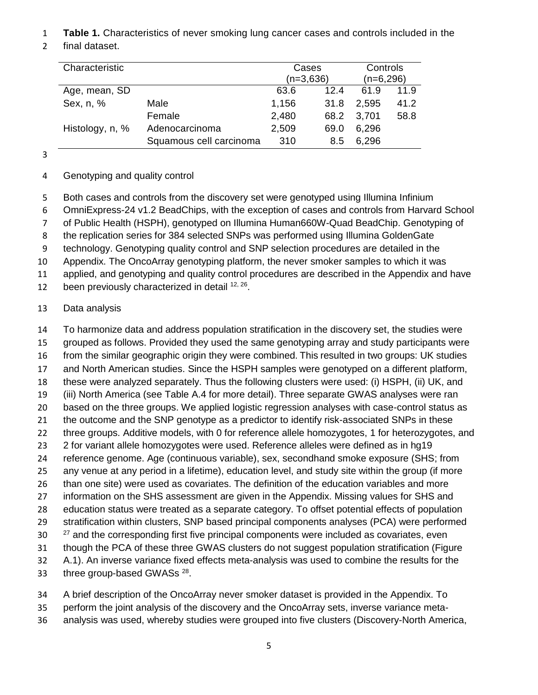- **Table 1.** Characteristics of never smoking lung cancer cases and controls included in the
- final dataset.

| Characteristic  |                         | Cases       |      | Controls    |      |  |
|-----------------|-------------------------|-------------|------|-------------|------|--|
|                 |                         | $(n=3,636)$ |      | $(n=6,296)$ |      |  |
| Age, mean, SD   |                         | 63.6        | 12.4 | 61.9        | 11.9 |  |
| Sex, n, %       | Male                    | 1,156       | 31.8 | 2,595       | 41.2 |  |
|                 | Female                  | 2,480       | 68.2 | 3,701       | 58.8 |  |
| Histology, n, % | Adenocarcinoma          | 2,509       | 69.0 | 6,296       |      |  |
|                 | Squamous cell carcinoma | 310         | 8.5  | 6,296       |      |  |
|                 |                         |             |      |             |      |  |

# Genotyping and quality control

- Both cases and controls from the discovery set were genotyped using Illumina Infinium
- OmniExpress-24 v1.2 BeadChips, with the exception of cases and controls from Harvard School
- of Public Health (HSPH), genotyped on Illumina Human660W-Quad BeadChip. Genotyping of
- the replication series for 384 selected SNPs was performed using Illumina GoldenGate
- technology. Genotyping quality control and SNP selection procedures are detailed in the
- Appendix. The OncoArray genotyping platform, the never smoker samples to which it was
- applied, and genotyping and quality control procedures are described in the Appendix and have
- 12 been previously characterized in detail  $12, 26$ .

# Data analysis

 To harmonize data and address population stratification in the discovery set, the studies were grouped as follows. Provided they used the same genotyping array and study participants were from the similar geographic origin they were combined. This resulted in two groups: UK studies and North American studies. Since the HSPH samples were genotyped on a different platform, these were analyzed separately. Thus the following clusters were used: (i) HSPH, (ii) UK, and (iii) North America (see Table A.4 for more detail). Three separate GWAS analyses were ran based on the three groups. We applied logistic regression analyses with case-control status as 21 the outcome and the SNP genotype as a predictor to identify risk-associated SNPs in these 22 three groups. Additive models, with 0 for reference allele homozygotes, 1 for heterozygotes, and 2 for variant allele homozygotes were used. Reference alleles were defined as in hg19 reference genome. Age (continuous variable), sex, secondhand smoke exposure (SHS; from any venue at any period in a lifetime), education level, and study site within the group (if more than one site) were used as covariates. The definition of the education variables and more information on the SHS assessment are given in the Appendix. Missing values for SHS and education status were treated as a separate category. To offset potential effects of population stratification within clusters, SNP based principal components analyses (PCA) were performed  $27$  and the corresponding first five principal components were included as covariates, even though the PCA of these three GWAS clusters do not suggest population stratification (Figure A.1). An inverse variance fixed effects meta-analysis was used to combine the results for the 33 three group-based GWASs .

- A brief description of the OncoArray never smoker dataset is provided in the Appendix. To
- perform the joint analysis of the discovery and the OncoArray sets, inverse variance meta-
- analysis was used, whereby studies were grouped into five clusters (Discovery-North America,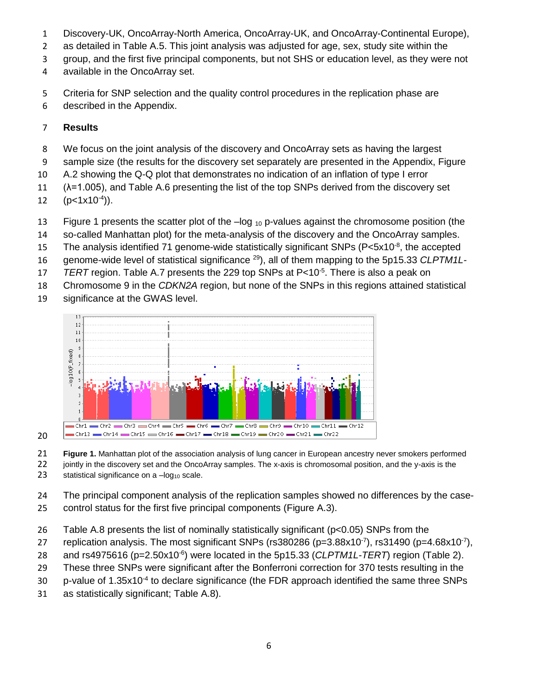- Discovery-UK, OncoArray-North America, OncoArray-UK, and OncoArray-Continental Europe),
- as detailed in Table A.5. This joint analysis was adjusted for age, sex, study site within the
- group, and the first five principal components, but not SHS or education level, as they were not
- available in the OncoArray set.
- Criteria for SNP selection and the quality control procedures in the replication phase are
- described in the Appendix.

# **Results**

- We focus on the joint analysis of the discovery and OncoArray sets as having the largest
- sample size (the results for the discovery set separately are presented in the Appendix, Figure
- A.2 showing the Q-Q plot that demonstrates no indication of an inflation of type I error
- (λ=1.005), and Table A.6 presenting the list of the top SNPs derived from the discovery set

12  $(p<1x10^{-4})$ ).

- 13 Figure 1 presents the scatter plot of the  $-\log_{10}$  p-values against the chromosome position (the
- so-called Manhattan plot) for the meta-analysis of the discovery and the OncoArray samples.
- 15 The analysis identified 71 genome-wide statistically significant SNPs ( $P < 5x10^{-8}$ , the accepted
- 16 genome-wide level of statistical significance <sup>29</sup>), all of them mapping to the 5p15.33 *CLPTM1L-*
- 17 *TERT* region. Table A.7 presents the 229 top SNPs at P<10<sup>-5</sup>. There is also a peak on
- Chromosome 9 in the *CDKN2A* region, but none of the SNPs in this regions attained statistical
- significance at the GWAS level.



 **Figure 1.** Manhattan plot of the association analysis of lung cancer in European ancestry never smokers performed 22 jointly in the discovery set and the OncoArray samples. The x-axis is chromosomal position, and the y-axis is the

23 statistical significance on a  $-log_{10}$  scale.

 The principal component analysis of the replication samples showed no differences by the case-control status for the first five principal components (Figure A.3).

- Table A.8 presents the list of nominally statistically significant (p<0.05) SNPs from the
- 27 replication analysis. The most significant SNPs (rs380286 (p=3.88x10 $\textdegree{}7$ ), rs31490 (p=4.68x10 $\textdegree{}7$ ),
- 28 and rs4975616 (p=2.50x10<sup>-6</sup>) were located in the 5p15.33 (*CLPTM1L-TERT*) region (Table 2).
- These three SNPs were significant after the Bonferroni correction for 370 tests resulting in the
- 30 p-value of 1.35x10<sup>-4</sup> to declare significance (the FDR approach identified the same three SNPs
- as statistically significant; Table A.8).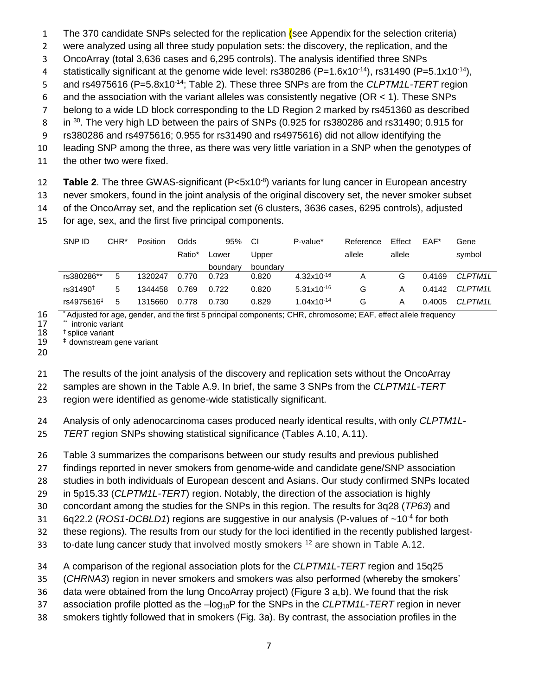- 1 The 370 candidate SNPs selected for the replication (see Appendix for the selection criteria)
- were analyzed using all three study population sets: the discovery, the replication, and the
- OncoArray (total 3,636 cases and 6,295 controls). The analysis identified three SNPs
- 4 statistically significant at the genome wide level: rs380286 (P=1.6x10<sup>-14</sup>), rs31490 (P=5.1x10<sup>-14</sup>),
- 5 and rs4975616 (P=5.8x10<sup>-14</sup>; Table 2). These three SNPs are from the *CLPTM1L-TERT* region
- and the association with the variant alleles was consistently negative (OR < 1). These SNPs
- belong to a wide LD block corresponding to the LD Region 2 marked by rs451360 as described
- 8 in <sup>30</sup>. The very high LD between the pairs of SNPs (0.925 for rs380286 and rs31490; 0.915 for
- rs380286 and rs4975616; 0.955 for rs31490 and rs4975616) did not allow identifying the
- leading SNP among the three, as there was very little variation in a SNP when the genotypes of
- the other two were fixed.
- 12 **Table 2**. The three GWAS-significant (P<5x10<sup>-8</sup>) variants for lung cancer in European ancestry
- never smokers, found in the joint analysis of the original discovery set, the never smoker subset
- of the OncoArray set, and the replication set (6 clusters, 3636 cases, 6295 controls), adjusted
- for age, sex, and the first five principal components.

| SNP ID                 | CHR <sup>*</sup> | Position | Odds   | 95%      | <b>CI</b> | P-value*        | Reference | Effect | $EAF*$ | Gene           |
|------------------------|------------------|----------|--------|----------|-----------|-----------------|-----------|--------|--------|----------------|
|                        |                  |          | Ratio* | Lower    | Upper     |                 | allele    | allele |        | symbol         |
|                        |                  |          |        | boundary | boundary  |                 |           |        |        |                |
| rs380286**             | 5                | 1320247  | 0.770  | 0.723    | 0.820     | $4.32x10^{-16}$ |           | G      | 0.4169 | <b>CLPTM1L</b> |
| rs31490 <sup>+</sup>   | 5                | 1344458  | 0.769  | 0.722    | 0.820     | $5.31x10^{-16}$ | G         | Α      | 0.4142 | CI PTM11       |
| rs4975616 <sup>‡</sup> | 5                | 1315660  | 0.778  | 0.730    | 0.829     | $1.04x10^{-14}$ | G         | A      | 0.4005 | CLPTM1L        |

<sup>16</sup> \* Adjusted for age, gender, and the first 5 principal components; CHR, chromosome; EAF, effect allele frequency<br>17 \* intronic variant

- 17  $*$  intronic variant<br>18  $*$  splice variant
- 18  $<sup>†</sup>$  splice variant<br>19  $<sup>‡</sup>$  downstream g</sup></sup>

 $‡$  downstream gene variant

The results of the joint analysis of the discovery and replication sets without the OncoArray

samples are shown in the Table A.9. In brief, the same 3 SNPs from the *CLPTM1L-TERT*

region were identified as genome-wide statistically significant.

Analysis of only adenocarcinoma cases produced nearly identical results, with only *CLPTM1L-*

*TERT* region SNPs showing statistical significance (Tables A.10, A.11).

Table 3 summarizes the comparisons between our study results and previous published

findings reported in never smokers from genome-wide and candidate gene/SNP association

studies in both individuals of European descent and Asians. Our study confirmed SNPs located

in 5p15.33 (*CLPTM1L-TERT*) region. Notably, the direction of the association is highly

concordant among the studies for the SNPs in this region. The results for 3q28 (*TP63*) and

6q22.2 (*ROS1-DCBLD1*) regions are suggestive in our analysis (P-values of ~10<sup>-4</sup> for both

these regions). The results from our study for the loci identified in the recently published largest-

33 to-date lung cancer study that involved mostly smokers<sup>12</sup> are shown in Table A.12.

A comparison of the regional association plots for the *CLPTM1L-TERT* region and 15q25

(*CHRNA3*) region in never smokers and smokers was also performed (whereby the smokers'

data were obtained from the lung OncoArray project) (Figure 3 a,b). We found that the risk

association profile plotted as the –log10P for the SNPs in the *CLPTM1L-TERT* region in never

smokers tightly followed that in smokers (Fig. 3a). By contrast, the association profiles in the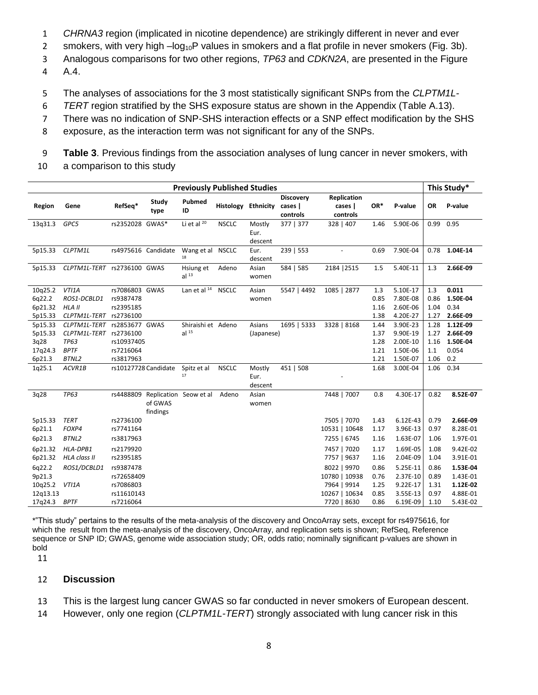- 1 *CHRNA3* region (implicated in nicotine dependence) are strikingly different in never and ever
- 2 smokers, with very high  $-\log_{10}P$  values in smokers and a flat profile in never smokers (Fig. 3b).
- 3 Analogous comparisons for two other regions, *TP63* and *CDKN2A*, are presented in the Figure
- 4 A.4.
- 5 The analyses of associations for the 3 most statistically significant SNPs from the *CLPTM1L-*
- 6 *TERT* region stratified by the SHS exposure status are shown in the Appendix (Table A.13).
- 7 There was no indication of SNP-SHS interaction effects or a SNP effect modification by the SHS
- 8 exposure, as the interaction term was not significant for any of the SNPs.

9 **Table 3**. Previous findings from the association analyses of lung cancer in never smokers, with

10 a comparison to this study

| <b>Previously Published Studies</b> |                                        |                 |                                  |                               |                     |                  |             |               |              |                      | This Study*  |                      |
|-------------------------------------|----------------------------------------|-----------------|----------------------------------|-------------------------------|---------------------|------------------|-------------|---------------|--------------|----------------------|--------------|----------------------|
|                                     |                                        | Study           | Pubmed                           |                               |                     | <b>Discovery</b> | Replication |               |              |                      |              |                      |
| Region                              | Gene                                   | RefSeq*         | type                             | ID                            | Histology Ethnicity |                  | cases       | cases         | OR*          | P-value              | OR           | P-value              |
|                                     |                                        |                 |                                  |                               |                     |                  | controls    | controls      |              |                      |              |                      |
| 13q31.3                             | GPC5                                   | rs2352028 GWAS* |                                  | Li et al $20$                 | <b>NSCLC</b>        | Mostly           | 377   377   | 328   407     | 1.46         | 5.90E-06             | 0.99         | 0.95                 |
|                                     |                                        |                 |                                  |                               |                     | Eur.             |             |               |              |                      |              |                      |
|                                     |                                        |                 |                                  |                               |                     | descent          |             |               |              |                      |              |                      |
| 5p15.33                             | CLPTM1L                                |                 | rs4975616 Candidate              | Wang et al NSCLC<br>18        |                     | Eur.<br>descent  | 239   553   |               | 0.69         | 7.90E-04             | 0.78         | 1.04E-14             |
| 5p15.33                             | CLPTM1L-TERT rs2736100 GWAS            |                 |                                  | Hsiung et                     | Adeno               | Asian            | 584   585   | 2184   2515   | 1.5          | 5.40E-11             | 1.3          | 2.66E-09             |
|                                     |                                        |                 |                                  | al <sup>13</sup>              |                     | women            |             |               |              |                      |              |                      |
|                                     |                                        |                 |                                  |                               |                     |                  |             |               |              |                      |              |                      |
| 10q25.2                             | VTI1A                                  | rs7086803 GWAS  |                                  | Lan et al <sup>14</sup> NSCLC |                     | Asian            | 5547   4492 | 1085   2877   | 1.3          | 5.10E-17             | 1.3          | 0.011                |
| 6q22.2                              | ROS1-DCBLD1                            | rs9387478       |                                  |                               |                     | women            |             |               | 0.85         | 7.80E-08             | 0.86         | 1.50E-04             |
| 6p21.32                             | HLA II                                 | rs2395185       |                                  |                               |                     |                  |             |               | 1.16         | 2.60E-06             | 1.04         | 0.34                 |
| 5p15.33<br>5p15.33                  | CLPTM1L-TERT rs2736100<br>CLPTM1L-TERT | rs2853677 GWAS  |                                  | Shiraishi et Adeno            |                     | Asians           |             | 3328   8168   | 1.38<br>1.44 | 4.20E-27<br>3.90E-23 | 1.27<br>1.28 | 2.66E-09<br>1.12E-09 |
| 5p15.33                             | CLPTM1L-TERT rs2736100                 |                 |                                  | al <sup>15</sup>              |                     | (Japanese)       | 1695   5333 |               | 1.37         | 9.90E-19             | 1.27         | 2.66E-09             |
| 3q28                                | <b>TP63</b>                            | rs10937405      |                                  |                               |                     |                  |             |               | 1.28         | 2.00E-10             | 1.16         | 1.50E-04             |
| 17q24.3                             | <b>BPTF</b>                            | rs7216064       |                                  |                               |                     |                  |             |               | 1.21         | 1.50E-06             | 1.1          | 0.054                |
| 6p21.3                              | BTNL2                                  | rs3817963       |                                  |                               |                     |                  |             |               | 1.21         | 1.50E-07             | 1.06         | 0.2                  |
| 1q25.1                              | ACVR1B                                 |                 | rs10127728 Candidate             | Spitz et al                   | <b>NSCLC</b>        | Mostly           | 451   508   |               | 1.68         | 3.00E-04             | 1.06         | 0.34                 |
|                                     |                                        |                 |                                  | 17                            |                     | Eur.             |             |               |              |                      |              |                      |
|                                     |                                        |                 |                                  |                               |                     | descent          |             |               |              |                      |              |                      |
| 3q28                                | <b>TP63</b>                            |                 | rs4488809 Replication Seow et al |                               | Adeno               | Asian            |             | 7448   7007   | 0.8          | 4.30E-17             | 0.82         | 8.52E-07             |
|                                     |                                        |                 | of GWAS                          |                               |                     | women            |             |               |              |                      |              |                      |
|                                     |                                        |                 | findings                         |                               |                     |                  |             |               |              |                      |              |                      |
| 5p15.33                             | TERT                                   | rs2736100       |                                  |                               |                     |                  |             | 7505   7070   | 1.43         | $6.12E-43$           | 0.79         | 2.66E-09             |
| 6p21.1                              | FOXP4                                  | rs7741164       |                                  |                               |                     |                  |             | 10531   10648 | 1.17         | 3.96E-13             | 0.97         | 8.28E-01             |
| 6p21.3                              | BTNL2                                  | rs3817963       |                                  |                               |                     |                  |             | 7255   6745   | 1.16         | 1.63E-07             | 1.06         | 1.97E-01             |
| 6p21.32                             | HLA-DPB1                               | rs2179920       |                                  |                               |                     |                  |             | 7457   7020   | 1.17         | 1.69E-05             | 1.08         | 9.42E-02             |
| 6p21.32                             | <b>HLA class II</b>                    | rs2395185       |                                  |                               |                     |                  |             | 7757   9637   | 1.16         | 2.04E-09             | 1.04         | 3.91E-01             |
| 6q22.2                              | ROS1/DCBLD1                            | rs9387478       |                                  |                               |                     |                  |             | 8022   9970   | 0.86         | 5.25E-11             | 0.86         | 1.53E-04             |
| 9p21.3                              |                                        | rs72658409      |                                  |                               |                     |                  |             | 10780   10938 | 0.76         | 2.37E-10             | 0.89         | 1.43E-01             |
| 10q25.2                             | VTI1A                                  | rs7086803       |                                  |                               |                     |                  |             | 7964   9914   | 1.25         | 9.22E-17             | 1.31         | 1.12E-02             |
| 12q13.13                            |                                        | rs11610143      |                                  |                               |                     |                  |             | 10267   10634 | 0.85         | 3.55E-13             | 0.97         | 4.88E-01             |
| 17q24.3 BPTF                        |                                        | rs7216064       |                                  |                               |                     |                  |             | 7720   8630   | 0.86         | 6.19E-09             | 1.10         | 5.43E-02             |

\*"This study" pertains to the results of the meta-analysis of the discovery and OncoArray sets, except for rs4975616, for which the result from the meta-analysis of the discovery, OncoArray, and replication sets is shown; RefSeq, Reference sequence or SNP ID; GWAS, genome wide association study; OR, odds ratio; nominally significant p-values are shown in bold

11

#### 12 **Discussion**

- 13 This is the largest lung cancer GWAS so far conducted in never smokers of European descent.
- 14 However, only one region (*CLPTM1L-TERT*) strongly associated with lung cancer risk in this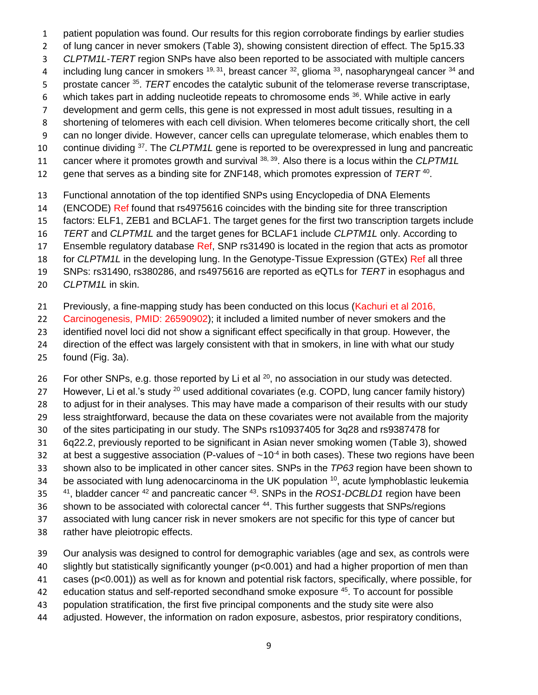- 1 patient population was found. Our results for this region corroborate findings by earlier studies
- 2 of lung cancer in never smokers (Table 3), showing consistent direction of effect. The 5p15.33
- 3 *CLPTM1L-TERT* region SNPs have also been reported to be associated with multiple cancers
- 4 including lung cancer in smokers  $^{19, 31}$ , breast cancer  $^{32}$ , glioma  $^{33}$ , nasopharyngeal cancer  $^{34}$  and
- 5 prostate cancer <sup>35</sup>. *TERT* encodes the catalytic subunit of the telomerase reverse transcriptase,
- 6 which takes part in adding nucleotide repeats to chromosome ends  $36$ . While active in early
- 7 development and germ cells, this gene is not expressed in most adult tissues, resulting in a
- 8 shortening of telomeres with each cell division. When telomeres become critically short, the cell
- 9 can no longer divide. However, cancer cells can upregulate telomerase, which enables them to
- 10 continue dividing <sup>37</sup>. The *CLPTM1L* gene is reported to be overexpressed in lung and pancreatic
- 11 cancer where it promotes growth and survival <sup>38, 39</sup>. Also there is a locus within the *CLPTM1L*
- 12 gene that serves as a binding site for ZNF148, which promotes expression of *TERT*<sup>40</sup>.
- 13 Functional annotation of the top identified SNPs using Encyclopedia of DNA Elements
- 14 (ENCODE) Ref found that rs4975616 coincides with the binding site for three transcription
- 15 factors: ELF1, ZEB1 and BCLAF1. The target genes for the first two transcription targets include
- 16 *TERT* and *CLPTM1L* and the target genes for BCLAF1 include *CLPTM1L* only. According to
- 17 Ensemble regulatory database Ref, SNP rs31490 is located in the region that acts as promotor
- 18 for *CLPTM1L* in the developing lung. In the Genotype-Tissue Expression (GTEx) Ref all three
- 19 SNPs: rs31490, rs380286, and rs4975616 are reported as eQTLs for *TERT* in esophagus and
- 20 *CLPTM1L* in skin.
- 21 Previously, a fine-mapping study has been conducted on this locus (Kachuri et al 2016,
- 22 Carcinogenesis, PMID: 26590902); it included a limited number of never smokers and the
- 23 identified novel loci did not show a significant effect specifically in that group. However, the
- 24 direction of the effect was largely consistent with that in smokers, in line with what our study
- 25 found (Fig. 3a).
- 26 For other SNPs, e.g. those reported by Li et al  $^{20}$ , no association in our study was detected.
- 27 However, Li et al.'s study  $^{20}$  used additional covariates (e.g. COPD, lung cancer family history)
- 28 to adjust for in their analyses. This may have made a comparison of their results with our study
- 29 less straightforward, because the data on these covariates were not available from the majority
- 30 of the sites participating in our study. The SNPs rs10937405 for 3q28 and rs9387478 for
- 31 6q22.2, previously reported to be significant in Asian never smoking women (Table 3), showed
- 32 at best a suggestive association (P-values of  $\sim 10^{-4}$  in both cases). These two regions have been
- 33 shown also to be implicated in other cancer sites. SNPs in the *TP63* region have been shown to
- 34 be associated with lung adenocarcinoma in the UK population  $10$ , acute lymphoblastic leukemia
- 41, bladder cancer <sup>42</sup> and pancreatic cancer <sup>43</sup>. SNPs in the *ROS1-DCBLD1* region have been
- 36 shown to be associated with colorectal cancer <sup>44</sup>. This further suggests that SNPs/regions
- 37 associated with lung cancer risk in never smokers are not specific for this type of cancer but
- 38 rather have pleiotropic effects.
- 39 Our analysis was designed to control for demographic variables (age and sex, as controls were
- 40 slightly but statistically significantly younger (p<0.001) and had a higher proportion of men than
- 41 cases (p<0.001)) as well as for known and potential risk factors, specifically, where possible, for
- 42 education status and self-reported secondhand smoke exposure <sup>45</sup>. To account for possible
- 43 population stratification, the first five principal components and the study site were also
- 44 adjusted. However, the information on radon exposure, asbestos, prior respiratory conditions,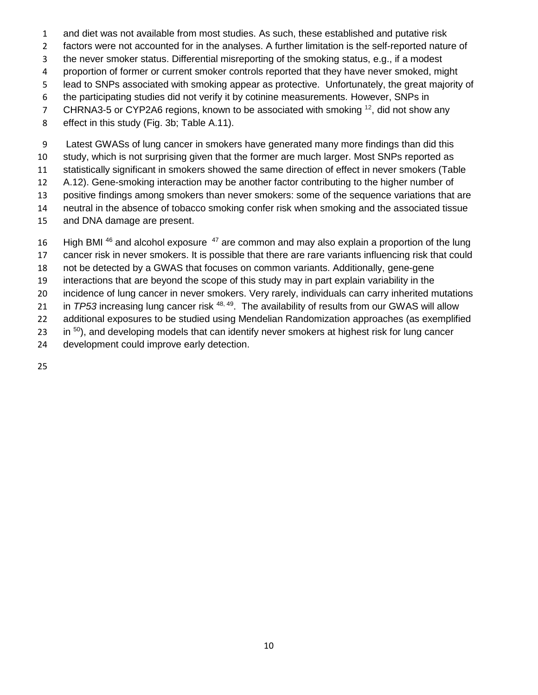- and diet was not available from most studies. As such, these established and putative risk
- factors were not accounted for in the analyses. A further limitation is the self-reported nature of
- the never smoker status. Differential misreporting of the smoking status, e.g., if a modest
- 4 proportion of former or current smoker controls reported that they have never smoked, might
- lead to SNPs associated with smoking appear as protective. Unfortunately, the great majority of
- the participating studies did not verify it by cotinine measurements. However, SNPs in
- 7 CHRNA3-5 or CYP2A6 regions, known to be associated with smoking  $^{12}$ , did not show any
- effect in this study (Fig. 3b; Table A.11).

 Latest GWASs of lung cancer in smokers have generated many more findings than did this study, which is not surprising given that the former are much larger. Most SNPs reported as statistically significant in smokers showed the same direction of effect in never smokers (Table A.12). Gene-smoking interaction may be another factor contributing to the higher number of positive findings among smokers than never smokers: some of the sequence variations that are neutral in the absence of tobacco smoking confer risk when smoking and the associated tissue and DNA damage are present.

16 High BMI and alcohol exposure  $47$  are common and may also explain a proportion of the lung cancer risk in never smokers. It is possible that there are rare variants influencing risk that could not be detected by a GWAS that focuses on common variants. Additionally, gene-gene interactions that are beyond the scope of this study may in part explain variability in the incidence of lung cancer in never smokers. Very rarely, individuals can carry inherited mutations 21 in *TP53* increasing lung cancer risk <sup>48, 49</sup>. The availability of results from our GWAS will allow additional exposures to be studied using Mendelian Randomization approaches (as exemplified 23 in , and developing models that can identify never smokers at highest risk for lung cancer development could improve early detection.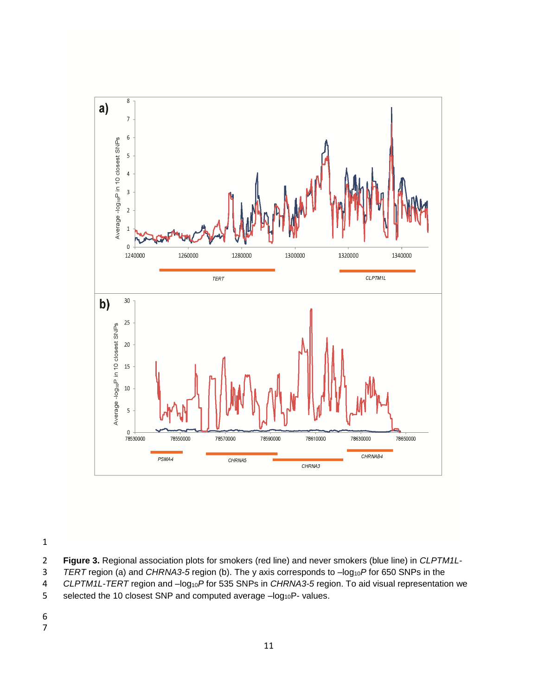

- **Figure 3.** Regional association plots for smokers (red line) and never smokers (blue line) in *CLPTM1L-*
- 3 *TERT* region (a) and *CHRNA3-5* region (b). The y axis corresponds to  $-log_{10}P$  for 650 SNPs in the CLPTM1L-TERT region and  $-log_{10}P$  for 535 SNPs in *CHRNA3-5* region. To aid visual representation
- 4 *CLPTM1L-TERT* region and  $-log_{10}P$  for 535 SNPs in *CHRNA3-5* region. To aid visual representation we<br>5 selected the 10 closest SNP and computed average -log<sub>10</sub>P- values.
- selected the 10 closest SNP and computed average -log<sub>10</sub>P- values.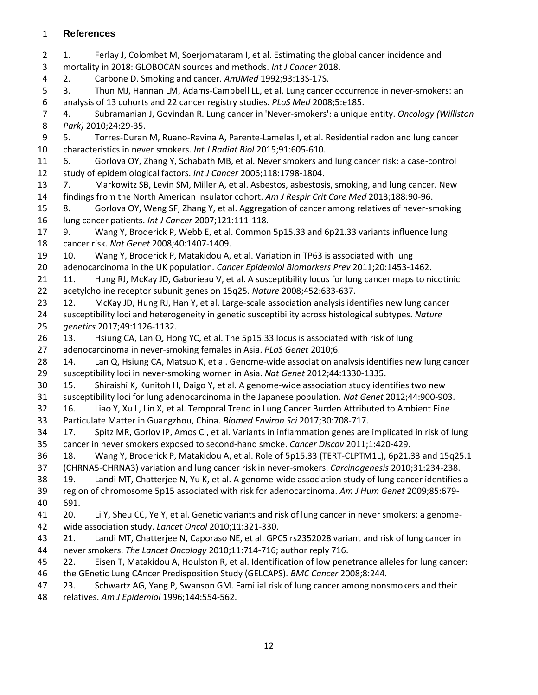#### **References**

 1. Ferlay J, Colombet M, Soerjomataram I, et al. Estimating the global cancer incidence and mortality in 2018: GLOBOCAN sources and methods. *Int J Cancer* 2018. 2. Carbone D. Smoking and cancer. *AmJMed* 1992;93:13S-17S. 3. Thun MJ, Hannan LM, Adams-Campbell LL, et al. Lung cancer occurrence in never-smokers: an analysis of 13 cohorts and 22 cancer registry studies. *PLoS Med* 2008;5:e185. 4. Subramanian J, Govindan R. Lung cancer in 'Never-smokers': a unique entity. *Oncology (Williston Park)* 2010;24:29-35. 5. Torres-Duran M, Ruano-Ravina A, Parente-Lamelas I, et al. Residential radon and lung cancer characteristics in never smokers. *Int J Radiat Biol* 2015;91:605-610. 6. Gorlova OY, Zhang Y, Schabath MB, et al. Never smokers and lung cancer risk: a case-control study of epidemiological factors. *Int J Cancer* 2006;118:1798-1804. 7. Markowitz SB, Levin SM, Miller A, et al. Asbestos, asbestosis, smoking, and lung cancer. New findings from the North American insulator cohort. *Am J Respir Crit Care Med* 2013;188:90-96. 8. Gorlova OY, Weng SF, Zhang Y, et al. Aggregation of cancer among relatives of never-smoking lung cancer patients. *Int J Cancer* 2007;121:111-118. 9. Wang Y, Broderick P, Webb E, et al. Common 5p15.33 and 6p21.33 variants influence lung cancer risk. *Nat Genet* 2008;40:1407-1409. 10. Wang Y, Broderick P, Matakidou A, et al. Variation in TP63 is associated with lung adenocarcinoma in the UK population. *Cancer Epidemiol Biomarkers Prev* 2011;20:1453-1462. 11. Hung RJ, McKay JD, Gaborieau V, et al. A susceptibility locus for lung cancer maps to nicotinic acetylcholine receptor subunit genes on 15q25. *Nature* 2008;452:633-637. 12. McKay JD, Hung RJ, Han Y, et al. Large-scale association analysis identifies new lung cancer susceptibility loci and heterogeneity in genetic susceptibility across histological subtypes. *Nature genetics* 2017;49:1126-1132. 13. Hsiung CA, Lan Q, Hong YC, et al. The 5p15.33 locus is associated with risk of lung adenocarcinoma in never-smoking females in Asia. *PLoS Genet* 2010;6. 14. Lan Q, Hsiung CA, Matsuo K, et al. Genome-wide association analysis identifies new lung cancer susceptibility loci in never-smoking women in Asia. *Nat Genet* 2012;44:1330-1335. 15. Shiraishi K, Kunitoh H, Daigo Y, et al. A genome-wide association study identifies two new susceptibility loci for lung adenocarcinoma in the Japanese population. *Nat Genet* 2012;44:900-903. 16. Liao Y, Xu L, Lin X, et al. Temporal Trend in Lung Cancer Burden Attributed to Ambient Fine Particulate Matter in Guangzhou, China. *Biomed Environ Sci* 2017;30:708-717. 17. Spitz MR, Gorlov IP, Amos CI, et al. Variants in inflammation genes are implicated in risk of lung cancer in never smokers exposed to second-hand smoke. *Cancer Discov* 2011;1:420-429. 18. Wang Y, Broderick P, Matakidou A, et al. Role of 5p15.33 (TERT-CLPTM1L), 6p21.33 and 15q25.1 (CHRNA5-CHRNA3) variation and lung cancer risk in never-smokers. *Carcinogenesis* 2010;31:234-238. 19. Landi MT, Chatterjee N, Yu K, et al. A genome-wide association study of lung cancer identifies a region of chromosome 5p15 associated with risk for adenocarcinoma. *Am J Hum Genet* 2009;85:679- 691. 20. Li Y, Sheu CC, Ye Y, et al. Genetic variants and risk of lung cancer in never smokers: a genome- wide association study. *Lancet Oncol* 2010;11:321-330. 21. Landi MT, Chatterjee N, Caporaso NE, et al. GPC5 rs2352028 variant and risk of lung cancer in never smokers. *The Lancet Oncology* 2010;11:714-716; author reply 716. 22. Eisen T, Matakidou A, Houlston R, et al. Identification of low penetrance alleles for lung cancer: the GEnetic Lung CAncer Predisposition Study (GELCAPS). *BMC Cancer* 2008;8:244. 23. Schwartz AG, Yang P, Swanson GM. Familial risk of lung cancer among nonsmokers and their

relatives. *Am J Epidemiol* 1996;144:554-562.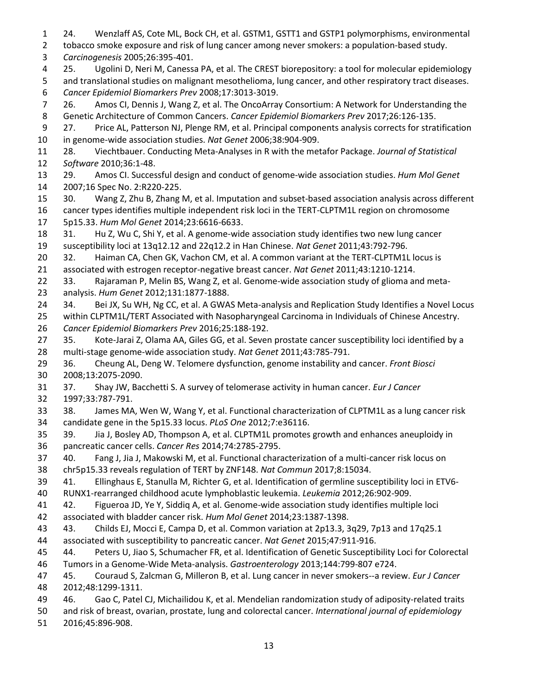24. Wenzlaff AS, Cote ML, Bock CH, et al. GSTM1, GSTT1 and GSTP1 polymorphisms, environmental tobacco smoke exposure and risk of lung cancer among never smokers: a population-based study. *Carcinogenesis* 2005;26:395-401. 25. Ugolini D, Neri M, Canessa PA, et al. The CREST biorepository: a tool for molecular epidemiology and translational studies on malignant mesothelioma, lung cancer, and other respiratory tract diseases. *Cancer Epidemiol Biomarkers Prev* 2008;17:3013-3019. 26. Amos CI, Dennis J, Wang Z, et al. The OncoArray Consortium: A Network for Understanding the Genetic Architecture of Common Cancers. *Cancer Epidemiol Biomarkers Prev* 2017;26:126-135. 27. Price AL, Patterson NJ, Plenge RM, et al. Principal components analysis corrects for stratification in genome-wide association studies. *Nat Genet* 2006;38:904-909. 28. Viechtbauer. Conducting Meta-Analyses in R with the metafor Package. *Journal of Statistical Software* 2010;36:1-48. 29. Amos CI. Successful design and conduct of genome-wide association studies. *Hum Mol Genet* 2007;16 Spec No. 2:R220-225. 30. Wang Z, Zhu B, Zhang M, et al. Imputation and subset-based association analysis across different cancer types identifies multiple independent risk loci in the TERT-CLPTM1L region on chromosome 5p15.33. *Hum Mol Genet* 2014;23:6616-6633. 31. Hu Z, Wu C, Shi Y, et al. A genome-wide association study identifies two new lung cancer susceptibility loci at 13q12.12 and 22q12.2 in Han Chinese. *Nat Genet* 2011;43:792-796. 20 32. Haiman CA, Chen GK, Vachon CM, et al. A common variant at the TERT-CLPTM1L locus is associated with estrogen receptor-negative breast cancer. *Nat Genet* 2011;43:1210-1214. 33. Rajaraman P, Melin BS, Wang Z, et al. Genome-wide association study of glioma and meta- analysis. *Hum Genet* 2012;131:1877-1888. 34. Bei JX, Su WH, Ng CC, et al. A GWAS Meta-analysis and Replication Study Identifies a Novel Locus within CLPTM1L/TERT Associated with Nasopharyngeal Carcinoma in Individuals of Chinese Ancestry. *Cancer Epidemiol Biomarkers Prev* 2016;25:188-192. 35. Kote-Jarai Z, Olama AA, Giles GG, et al. Seven prostate cancer susceptibility loci identified by a multi-stage genome-wide association study. *Nat Genet* 2011;43:785-791. 36. Cheung AL, Deng W. Telomere dysfunction, genome instability and cancer. *Front Biosci* 2008;13:2075-2090. 37. Shay JW, Bacchetti S. A survey of telomerase activity in human cancer. *Eur J Cancer* 1997;33:787-791. 38. James MA, Wen W, Wang Y, et al. Functional characterization of CLPTM1L as a lung cancer risk candidate gene in the 5p15.33 locus. *PLoS One* 2012;7:e36116. 39. Jia J, Bosley AD, Thompson A, et al. CLPTM1L promotes growth and enhances aneuploidy in pancreatic cancer cells. *Cancer Res* 2014;74:2785-2795. 40. Fang J, Jia J, Makowski M, et al. Functional characterization of a multi-cancer risk locus on chr5p15.33 reveals regulation of TERT by ZNF148. *Nat Commun* 2017;8:15034. 41. Ellinghaus E, Stanulla M, Richter G, et al. Identification of germline susceptibility loci in ETV6- RUNX1-rearranged childhood acute lymphoblastic leukemia. *Leukemia* 2012;26:902-909. 42. Figueroa JD, Ye Y, Siddiq A, et al. Genome-wide association study identifies multiple loci associated with bladder cancer risk. *Hum Mol Genet* 2014;23:1387-1398. 43. Childs EJ, Mocci E, Campa D, et al. Common variation at 2p13.3, 3q29, 7p13 and 17q25.1 associated with susceptibility to pancreatic cancer. *Nat Genet* 2015;47:911-916. 44. Peters U, Jiao S, Schumacher FR, et al. Identification of Genetic Susceptibility Loci for Colorectal Tumors in a Genome-Wide Meta-analysis. *Gastroenterology* 2013;144:799-807 e724. 45. Couraud S, Zalcman G, Milleron B, et al. Lung cancer in never smokers--a review. *Eur J Cancer* 2012;48:1299-1311. 46. Gao C, Patel CJ, Michailidou K, et al. Mendelian randomization study of adiposity-related traits and risk of breast, ovarian, prostate, lung and colorectal cancer. *International journal of epidemiology* 2016;45:896-908.